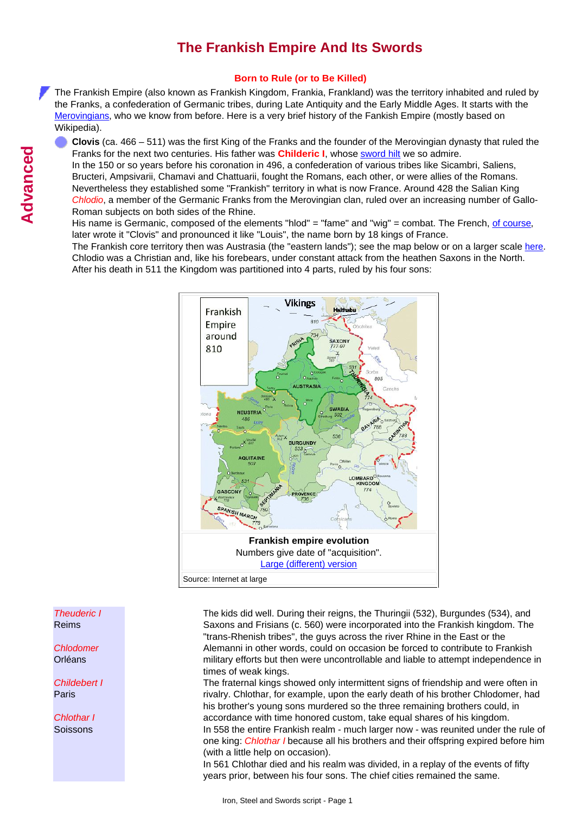# **The Frankish Empire And Its Swords**

## **Born to Rule (or to Be Killed)**

The Frankish Empire (also known as Frankish Kingdom, Frankia, Frankland) was the territory inhabited and ruled by the Franks, a confederation of Germanic tribes, during Late Antiquity and the Early Middle Ages. It starts with the [Merovingians,](http://www.tf.uni-kiel.de/matwis/amat/iss/kap_b/advanced/tb_3_3.html#merovingians) who we know from before. Here is a very brief history of the Fankish Empire (mostly based on Wikipedia).

**Clovis** (ca. 466 – 511) was the first King of the Franks and the founder of the Merovingian dynasty that ruled the Franks for the next two centuries. His father was **Childeric I**, whose [sword hilt](http://www.tf.uni-kiel.de/matwis/amat/iss/kap_b/illustr/ib_3_5.html#!childeric i) we so admire. In the 150 or so years before his coronation in 496, a confederation of various tribes like Sicambri, Saliens,

Bructeri, Ampsivarii, Chamavi and Chattuarii, fought the Romans, each other, or were allies of the Romans. Nevertheless they established some "Frankish" territory in what is now France. Around 428 the Salian King *Chlodio*, a member of the Germanic Franks from the Merovingian clan, ruled over an increasing number of Gallo-Roman subjects on both sides of the Rhine.

His name is Germanic, composed of the elements "hlod" = "fame" and "wig" = combat. The French, [of course](http://www.tf.uni-kiel.de/matwis/amat/iss/kap_a/advanced/aa_3_1.html#_2), later wrote it "Clovis" and pronounced it like "Louis", the name born by 18 kings of France.

The Frankish core territory then was Austrasia (the "eastern lands"); see the map below or on a larger scale [here](http://www.tf.uni-kiel.de/matwis/amat/iss/kap_b/illustr/sb_3_2.html#merovingians; map). Chlodio was a Christian and, like his forebears, under constant attack from the heathen Saxons in the North. After his death in 511 the Kingdom was partitioned into 4 parts, ruled by his four sons:



The kids did well. During their reigns, the Thuringii (532), Burgundes (534), and Saxons and Frisians (c. 560) were incorporated into the Frankish kingdom. The "trans-Rhenish tribes", the guys across the river Rhine in the East or the Alemanni in other words, could on occasion be forced to contribute to Frankish military efforts but then were uncontrollable and liable to attempt independence in times of weak kings.

The fraternal kings showed only intermittent signs of friendship and were often in rivalry. Chlothar, for example, upon the early death of his brother Chlodomer, had his brother's young sons murdered so the three remaining brothers could, in accordance with time honored custom, take equal shares of his kingdom. In 558 the entire Frankish realm - much larger now - was reunited under the rule of one king: *Chlothar I* because all his brothers and their offspring expired before him (with a little help on occasion).

In 561 Chlothar died and his realm was divided, in a replay of the events of fifty years prior, between his four sons. The chief cities remained the same.

*Chlodomer* Orléans

*Childebert I* Paris

*Chlothar I* **Soissons**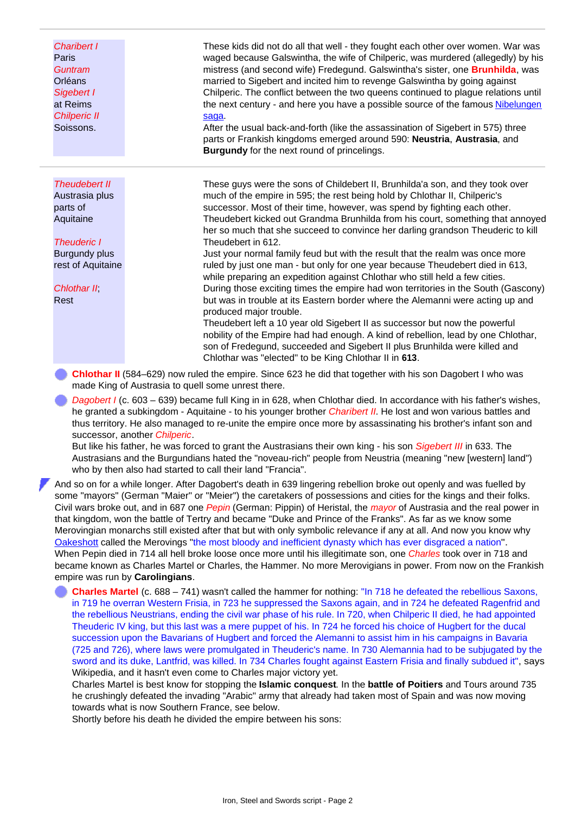*Charibert I* Paris *Guntram* Orléans *Sigebert I* at Reims *Chilperic II* Soissons. These kids did not do all that well - they fought each other over women. War was waged because Galswintha, the wife of Chilperic, was murdered (allegedly) by his mistress (and second wife) Fredegund. Galswintha's sister, one **Brunhilda**, was married to Sigebert and incited him to revenge Galswintha by going against Chilperic. The conflict between the two queens continued to plague relations until the next century - and here you have a possible source of the famous [Nibelungen](http://www.tf.uni-kiel.de/matwis/amat/iss/kap_2/advanced/t2_1_2.html#song of the nibelungs) [saga](http://www.tf.uni-kiel.de/matwis/amat/iss/kap_2/advanced/t2_1_2.html#song of the nibelungs). After the usual back-and-forth (like the assassination of Sigebert in 575) three parts or Frankish kingdoms emerged around 590: **Neustria**, **Austrasia**, and **Burgundy** for the next round of princelings. *Theudebert II* Austrasia plus parts of Aquitaine *Theuderic I* Burgundy plus rest of Aquitaine *Chlothar II*; Rest These guys were the sons of Childebert II, Brunhilda'a son, and they took over much of the empire in 595; the rest being hold by Chlothar II, Chilperic's successor. Most of their time, however, was spend by fighting each other. Theudebert kicked out Grandma Brunhilda from his court, something that annoyed her so much that she succeed to convince her darling grandson Theuderic to kill Theudebert in 612. Just your normal family feud but with the result that the realm was once more ruled by just one man - but only for one year because Theudebert died in 613, while preparing an expedition against Chlothar who still held a few cities. During those exciting times the empire had won territories in the South (Gascony) but was in trouble at its Eastern border where the Alemanni were acting up and produced major trouble. Theudebert left a 10 year old Sigebert II as successor but now the powerful nobility of the Empire had had enough. A kind of rebellion, lead by one Chlothar, son of Fredegund, succeeded and Sigebert II plus Brunhilda were killed and Chlothar was "elected" to be King Chlothar II in **613**.

- **Chlothar II** (584–629) now ruled the empire. Since 623 he did that together with his son Dagobert I who was made King of Austrasia to quell some unrest there.
- *Dagobert I* (c. 603 639) became full King in in 628, when Chlothar died. In accordance with his father's wishes, he granted a subkingdom - Aquitaine - to his younger brother *Charibert II*. He lost and won various battles and thus territory. He also managed to re-unite the empire once more by assassinating his brother's infant son and successor, another *Chilperic*.

But like his father, he was forced to grant the Austrasians their own king - his son *Sigebert III* in 633. The Austrasians and the Burgundians hated the "noveau-rich" people from Neustria (meaning "new [western] land") who by then also had started to call their land "Francia".

And so on for a while longer. After Dagobert's death in 639 lingering rebellion broke out openly and was fuelled by some "mayors" (German "Maier" or "Meier") the caretakers of possessions and cities for the kings and their folks. Civil wars broke out, and in 687 one *Pepin* (German: Pippin) of Heristal, the *mayor* of Austrasia and the real power in that kingdom, won the battle of Tertry and became "Duke and Prince of the Franks". As far as we know some Merovingian monarchs still existed after that but with only symbolic relevance if any at all. And now you know why [Oakeshott](http://www.tf.uni-kiel.de/matwis/amat/iss/kap_1/illustr/s1_1_2.html#!oakeshott) called the Merovings "the most bloody and inefficient dynasty which has ever disgraced a nation". When Pepin died in 714 all hell broke loose once more until his illegitimate son, one *Charles* took over in 718 and became known as Charles Martel or Charles, the Hammer. No more Merovigians in power. From now on the Frankish empire was run by **Carolingians**.

**Charles Martel** (c. 688 – 741) wasn't called the hammer for nothing: "In 718 he defeated the rebellious Saxons, in 719 he overran Western Frisia, in 723 he suppressed the Saxons again, and in 724 he defeated Ragenfrid and the rebellious Neustrians, ending the civil war phase of his rule. In 720, when Chilperic II died, he had appointed Theuderic IV king, but this last was a mere puppet of his. In 724 he forced his choice of Hugbert for the ducal succession upon the Bavarians of Hugbert and forced the Alemanni to assist him in his campaigns in Bavaria (725 and 726), where laws were promulgated in Theuderic's name. In 730 Alemannia had to be subjugated by the sword and its duke, Lantfrid, was killed. In 734 Charles fought against Eastern Frisia and finally subdued it", says Wikipedia, and it hasn't even come to Charles major victory yet.

Charles Martel is best know for stopping the **Islamic conquest**. In the **battle of Poitiers** and Tours around 735 he crushingly defeated the invading "Arabic" army that already had taken most of Spain and was now moving towards what is now Southern France, see below.

Shortly before his death he divided the empire between his sons: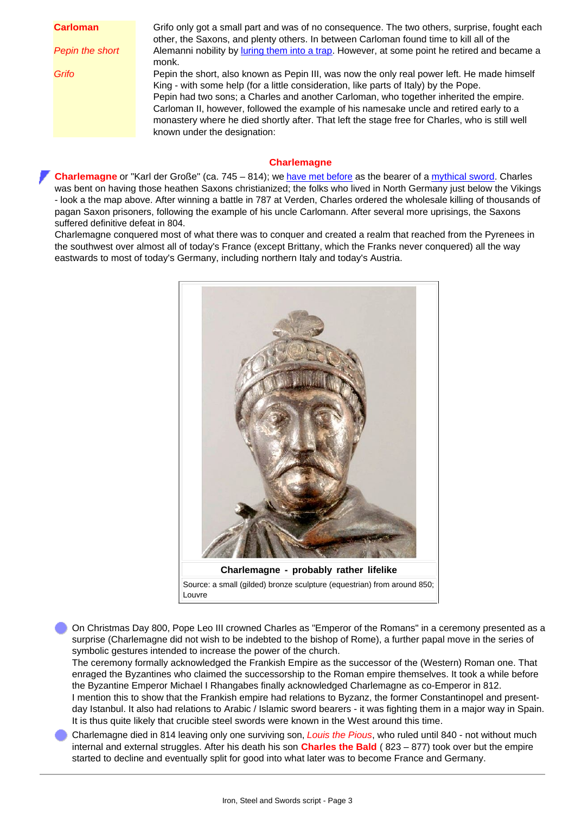| <b>Carloman</b> | Grifo only got a small part and was of no consequence. The two others, surprise, fought each   |
|-----------------|------------------------------------------------------------------------------------------------|
|                 | other, the Saxons, and plenty others. In between Carloman found time to kill all of the        |
| Pepin the short | Alemanni nobility by luring them into a trap. However, at some point he retired and became a   |
|                 | monk.                                                                                          |
| Grifo           | Pepin the short, also known as Pepin III, was now the only real power left. He made himself    |
|                 | King - with some help (for a little consideration, like parts of Italy) by the Pope.           |
|                 | Pepin had two sons; a Charles and another Carloman, who together inherited the empire.         |
|                 |                                                                                                |
|                 | Carloman II, however, followed the example of his namesake uncle and retired early to a        |
|                 | monastery where he died shortly after. That left the stage free for Charles, who is still well |
|                 | known under the designation:                                                                   |

#### **Charlemagne**

**Charlemagne** or "Karl der Große" (ca. 745 – 814); we [have met before](http://www.tf.uni-kiel.de/matwis/amat/iss/kap_2/advanced/t2_1_2.html#!charlemagne) as the bearer of a [mythical sword.](http://www.tf.uni-kiel.de/matwis/amat/iss/kap_2/illustr/i2_1_1.html#joyeuse; sword name) Charles was bent on having those heathen Saxons christianized; the folks who lived in North Germany just below the Vikings - look a the map above. After winning a battle in 787 at Verden, Charles ordered the wholesale killing of thousands of pagan Saxon prisoners, following the example of his uncle Carlomann. After several more uprisings, the Saxons suffered definitive defeat in 804.

Charlemagne conquered most of what there was to conquer and created a realm that reached from the Pyrenees in the southwest over almost all of today's France (except Brittany, which the Franks never conquered) all the way eastwards to most of today's Germany, including northern Italy and today's Austria.



On Christmas Day 800, Pope Leo III crowned Charles as "Emperor of the Romans" in a ceremony presented as a surprise (Charlemagne did not wish to be indebted to the bishop of Rome), a further papal move in the series of symbolic gestures intended to increase the power of the church.

The ceremony formally acknowledged the Frankish Empire as the successor of the (Western) Roman one. That enraged the Byzantines who claimed the successorship to the Roman empire themselves. It took a while before the Byzantine Emperor Michael I Rhangabes finally acknowledged Charlemagne as co-Emperor in 812.

I mention this to show that the Frankish empire had relations to Byzanz, the former Constantinopel and presentday Istanbul. It also had relations to Arabic / Islamic sword bearers - it was fighting them in a major way in Spain. It is thus quite likely that crucible steel swords were known in the West around this time.

<span id="page-2-0"></span>Charlemagne died in 814 leaving only one surviving son, *Louis the Pious*, who ruled until 840 - not without much internal and external struggles. After his death his son **Charles the Bald** ( 823 – 877) took over but the empire started to decline and eventually split for good into what later was to become France and Germany.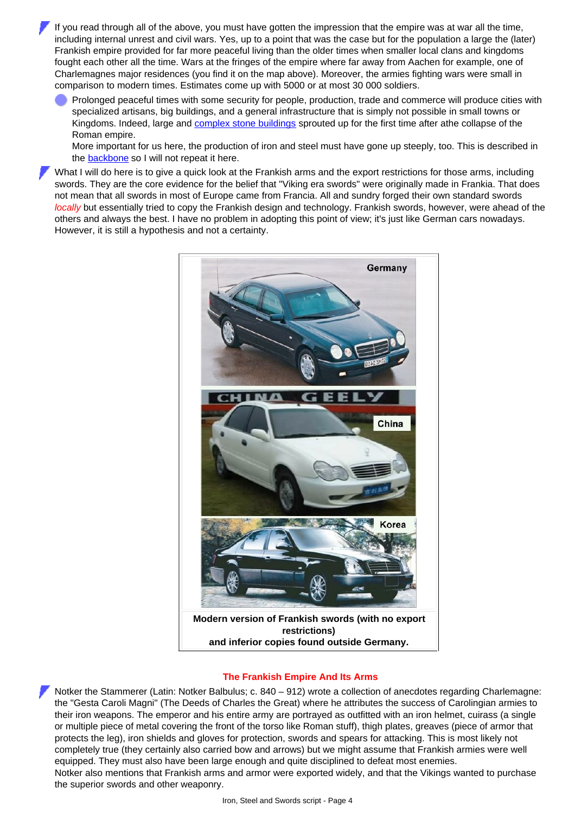If you read through all of the above, you must have gotten the impression that the empire was at war all the time, including internal unrest and civil wars. Yes, up to a point that was the case but for the population a large the (later) Frankish empire provided for far more peaceful living than the older times when smaller local clans and kingdoms fought each other all the time. Wars at the fringes of the empire where far away from Aachen for example, one of Charlemagnes major residences (you find it on the map above). Moreover, the armies fighting wars were small in comparison to modern times. Estimates come up with 5000 or at most 30 000 soldiers.

Prolonged peaceful times with some security for people, production, trade and commerce will produce cities with specialized artisans, big buildings, and a general infrastructure that is simply not possible in small towns or Kingdoms. Indeed, large and [complex stone buildings](http://www.tf.uni-kiel.de/matwis/amat/iss/kap_b/backbone/rb_4_2.html#palatine chapel; aachen) sprouted up for the first time after athe collapse of the Roman empire.

More important for us here, the production of iron and steel must have gone up steeply, too. This is described in the **[backbone](http://www.tf.uni-kiel.de/matwis/amat/iss/kap_b/backbone/rb_4_2.html#_1)** so I will not repeat it here.

What I will do here is to give a quick look at the Frankish arms and the export restrictions for those arms, including swords. They are the core evidence for the belief that "Viking era swords" were originally made in Frankia. That does not mean that all swords in most of Europe came from Francia. All and sundry forged their own standard swords *locally* but essentially tried to copy the Frankish design and technology. Frankish swords, however, were ahead of the others and always the best. I have no problem in adopting this point of view; it's just like German cars nowadays. However, it is still a hypothesis and not a certainty.



#### **The Frankish Empire And Its Arms**

<span id="page-3-0"></span>Notker the Stammerer (Latin: Notker Balbulus; c. 840 – 912) wrote a collection of anecdotes regarding Charlemagne: the "Gesta Caroli Magni" (The Deeds of Charles the Great) where he attributes the success of Carolingian armies to their iron weapons. The emperor and his entire army are portrayed as outfitted with an iron helmet, cuirass (a single or multiple piece of metal covering the front of the torso like Roman stuff), thigh plates, greaves (piece of armor that protects the leg), iron shields and gloves for protection, swords and spears for attacking. This is most likely not completely true (they certainly also carried bow and arrows) but we might assume that Frankish armies were well equipped. They must also have been large enough and quite disciplined to defeat most enemies. Notker also mentions that Frankish arms and armor were exported widely, and that the Vikings wanted to purchase the superior swords and other weaponry.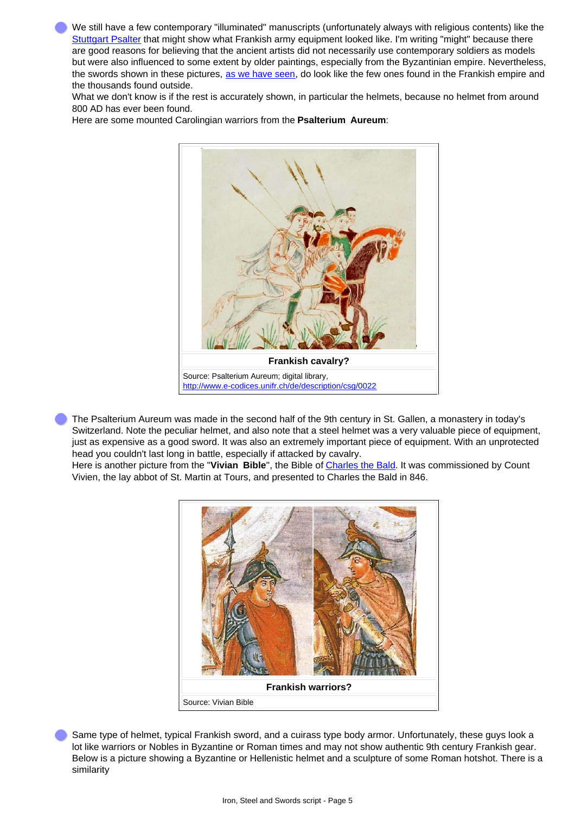We still have a few contemporary "illuminated" manuscripts (unfortunately always with religious contents) like the [Stuttgart Psalter](http://www.tf.uni-kiel.de/matwis/amat/iss/kap_b/advanced/tb_3_1.html#stuttgarter psalter) that might show what Frankish army equipment looked like. I'm writing "might" because there are good reasons for believing that the ancient artists did not necessarily use contemporary soldiers as models but were also influenced to some extent by older paintings, especially from the Byzantinian empire. Nevertheless, the swords shown in these pictures, [as we have seen,](http://www.tf.uni-kiel.de/matwis/amat/iss/kap_b/illustr/ib_4_2.html#_5) do look like the few ones found in the Frankish empire and the thousands found outside.

What we don't know is if the rest is accurately shown, in particular the helmets, because no helmet from around 800 AD has ever been found.

Here are some mounted Carolingian warriors from the **Psalterium Aureum**:



The Psalterium Aureum was made in the second half of the 9th century in St. Gallen, a monastery in today's Switzerland. Note the peculiar helmet, and also note that a steel helmet was a very valuable piece of equipment, just as expensive as a good sword. It was also an extremely important piece of equipment. With an unprotected head you couldn't last long in battle, especially if attacked by cavalry.

Here is another picture from the "**Vivian Bible**", the Bible of [Charles the Bald](#page-2-0). It was commissioned by Count Vivien, the lay abbot of St. Martin at Tours, and presented to Charles the Bald in 846.



Same type of helmet, typical Frankish sword, and a cuirass type body armor. Unfortunately, these guys look a lot like warriors or Nobles in Byzantine or Roman times and may not show authentic 9th century Frankish gear. Below is a picture showing a Byzantine or Hellenistic helmet and a sculpture of some Roman hotshot. There is a similarity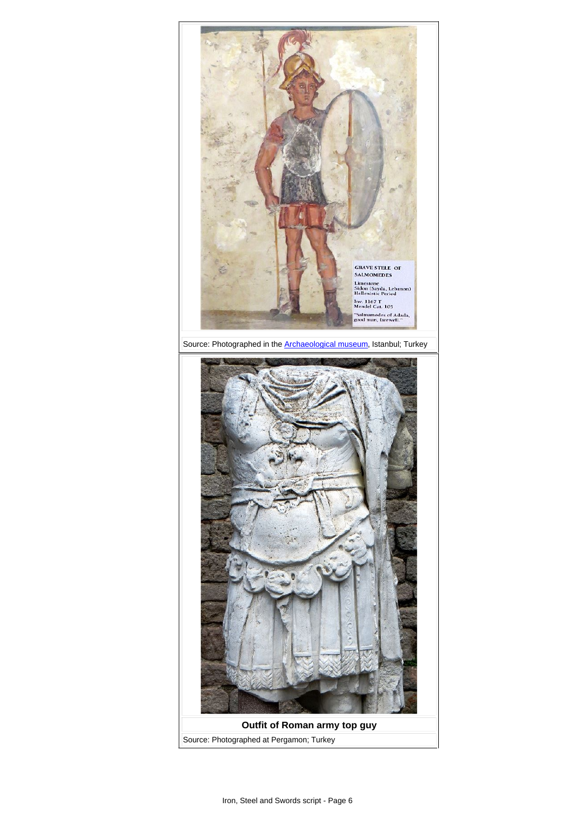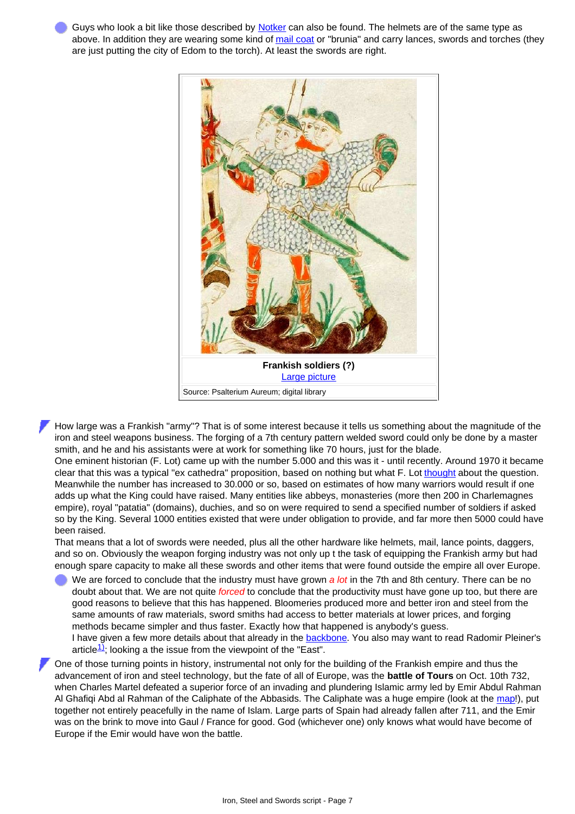Guys who look a bit like those described by [Notker](#page-3-0) can also be found. The helmets are of the same type as above. In addition they are wearing some kind of [mail coat](http://www.tf.uni-kiel.de/matwis/amat/iss/kap_b/advanced/tb_3_3c.html#chain mail; vimose) or "brunia" and carry lances, swords and torches (they are just putting the city of Edom to the torch). At least the swords are right.



How large was a Frankish "army"? That is of some interest because it tells us something about the magnitude of the iron and steel weapons business. The forging of a 7th century pattern welded sword could only be done by a master smith, and he and his assistants were at work for something like 70 hours, just for the blade.

One eminent historian (F. Lot) came up with the number 5.000 and this was it - until recently. Around 1970 it became clear that this was a typical "ex cathedra" proposition, based on nothing but what F. Lot [thought](http://www.tf.uni-kiel.de/matwis/amat/iss/kap_a/backbone/ra_1_1.html#_7) about the question. Meanwhile the number has increased to 30.000 or so, based on estimates of how many warriors would result if one adds up what the King could have raised. Many entities like abbeys, monasteries (more then 200 in Charlemagnes empire), royal "patatia" (domains), duchies, and so on were required to send a specified number of soldiers if asked so by the King. Several 1000 entities existed that were under obligation to provide, and far more then 5000 could have been raised.

That means that a lot of swords were needed, plus all the other hardware like helmets, mail, lance points, daggers, and so on. Obviously the weapon forging industry was not only up t the task of equipping the Frankish army but had enough spare capacity to make all these swords and other items that were found outside the empire all over Europe.

- We are forced to conclude that the industry must have grown *a lot* in the 7th and 8th century. There can be no doubt about that. We are not quite *forced* to conclude that the productivity must have gone up too, but there are good reasons to believe that this has happened. Bloomeries produced more and better iron and steel from the same amounts of raw materials, sword smiths had access to better materials at lower prices, and forging methods became simpler and thus faster. Exactly how that happened is anybody's guess. I have given a few more details about that already in the **backbone**. You also may want to read Radomir Pleiner's article $\frac{1}{2}$ ; looking a the issue from the viewpoint of the "East".
- One of those turning points in history, instrumental not only for the building of the Frankish empire and thus the advancement of iron and steel technology, but the fate of all of Europe, was the **battle of Tours** on Oct. 10th 732, when Charles Martel defeated a superior force of an invading and plundering Islamic army led by Emir Abdul Rahman Al Ghafiqi Abd al Rahman of the Caliphate of the Abbasids. The Caliphate was a huge empire (look at the [map!](http://www.tf.uni-kiel.de/matwis/amat/iss/kap_b/illustr/ib_4_2.html#_9)), put together not entirely peacefully in the name of Islam. Large parts of Spain had already fallen after 711, and the Emir was on the brink to move into Gaul / France for good. God (whichever one) only knows what would have become of Europe if the Emir would have won the battle.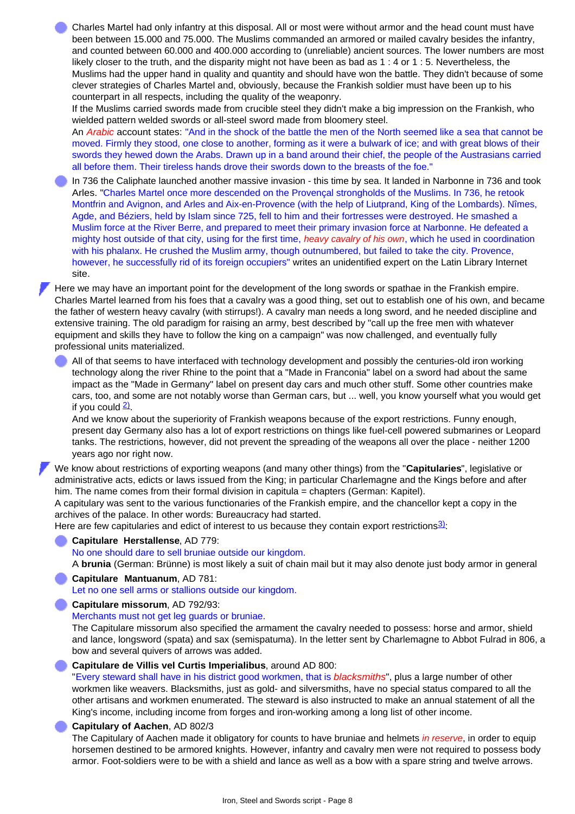Charles Martel had only infantry at this disposal. All or most were without armor and the head count must have been between 15.000 and 75.000. The Muslims commanded an armored or mailed cavalry besides the infantry, and counted between 60.000 and 400.000 according to (unreliable) ancient sources. The lower numbers are most likely closer to the truth, and the disparity might not have been as bad as 1 : 4 or 1 : 5. Nevertheless, the Muslims had the upper hand in quality and quantity and should have won the battle. They didn't because of some clever strategies of Charles Martel and, obviously, because the Frankish soldier must have been up to his counterpart in all respects, including the quality of the weaponry.

If the Muslims carried swords made from crucible steel they didn't make a big impression on the Frankish, who wielded pattern welded swords or all-steel sword made from bloomery steel.

An *Arabic* account states: "And in the shock of the battle the men of the North seemed like a sea that cannot be moved. Firmly they stood, one close to another, forming as it were a bulwark of ice; and with great blows of their swords they hewed down the Arabs. Drawn up in a band around their chief, the people of the Austrasians carried all before them. Their tireless hands drove their swords down to the breasts of the foe."

In 736 the Caliphate launched another massive invasion - this time by sea. It landed in Narbonne in 736 and took Arles. "Charles Martel once more descended on the Provençal strongholds of the Muslims. In 736, he retook Montfrin and Avignon, and Arles and Aix-en-Provence (with the help of Liutprand, King of the Lombards). Nîmes, Agde, and Béziers, held by Islam since 725, fell to him and their fortresses were destroyed. He smashed a Muslim force at the River Berre, and prepared to meet their primary invasion force at Narbonne. He defeated a mighty host outside of that city, using for the first time, *heavy cavalry of his own*, which he used in coordination with his phalanx. He crushed the Muslim army, though outnumbered, but failed to take the city. Provence, however, he successfully rid of its foreign occupiers" writes an unidentified expert on the Latin Library Internet site.

Here we may have an important point for the development of the long swords or spathae in the Frankish empire. Charles Martel learned from his foes that a cavalry was a good thing, set out to establish one of his own, and became the father of western heavy cavalry (with stirrups!). A cavalry man needs a long sword, and he needed discipline and extensive training. The old paradigm for raising an army, best described by "call up the free men with whatever equipment and skills they have to follow the king on a campaign" was now challenged, and eventually fully professional units materialized.

All of that seems to have interfaced with technology development and possibly the centuries-old iron working technology along the river Rhine to the point that a "Made in Franconia" label on a sword had about the same impact as the "Made in Germany" label on present day cars and much other stuff. Some other countries make cars, too, and some are not notably worse than German cars, but ... well, you know yourself what you would get if you could [2\)](#page-9-0)

And we know about the superiority of Frankish weapons because of the export restrictions. Funny enough, present day Germany also has a lot of export restrictions on things like fuel-cell powered submarines or Leopard tanks. The restrictions, however, did not prevent the spreading of the weapons all over the place - neither 1200 years ago nor right now.

We know about restrictions of exporting weapons (and many other things) from the "**Capitularies**", legislative or administrative acts, edicts or laws issued from the King; in particular Charlemagne and the Kings before and after him. The name comes from their formal division in capitula = chapters (German: Kapitel).

A capitulary was sent to the various functionaries of the Frankish empire, and the chancellor kept a copy in the archives of the palace. In other words: Bureaucracy had started.

Here are few capitularies and edict of interest to us because they contain export restrictions $3$ :

## **Capitulare Herstallense**, AD 779:

No one should dare to sell bruniae outside our kingdom.

A **brunia** (German: Brünne) is most likely a suit of chain mail but it may also denote just body armor in general

- **Capitulare Mantuanum**, AD 781: Let no one sell arms or stallions outside our kingdom.
- **Capitulare missorum**, AD 792/93:

Merchants must not get leg guards or bruniae.

The Capitulare missorum also specified the armament the cavalry needed to possess: horse and armor, shield and lance, longsword (spata) and sax (semispatuma). In the letter sent by Charlemagne to Abbot Fulrad in 806, a bow and several quivers of arrows was added.

#### **Capitulare de Villis vel Curtis Imperialibus**, around AD 800:

"Every steward shall have in his district good workmen, that is *blacksmiths*", plus a large number of other workmen like weavers. Blacksmiths, just as gold- and silversmiths, have no special status compared to all the other artisans and workmen enumerated. The steward is also instructed to make an annual statement of all the King's income, including income from forges and iron-working among a long list of other income.

### **Capitulary of Aachen**, AD 802/3

The Capitulary of Aachen made it obligatory for counts to have bruniae and helmets *in reserve*, in order to equip horsemen destined to be armored knights. However, infantry and cavalry men were not required to possess body armor. Foot-soldiers were to be with a shield and lance as well as a bow with a spare string and twelve arrows.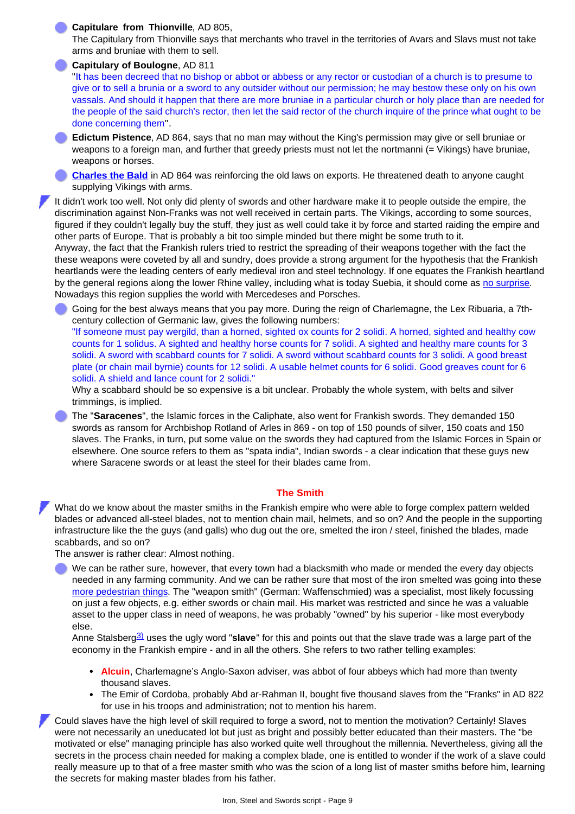#### **Capitulare from Thionville**, AD 805,

The Capitulary from Thionville says that merchants who travel in the territories of Avars and Slavs must not take arms and bruniae with them to sell.

#### **Capitulary of Boulogne**, AD 811

"It has been decreed that no bishop or abbot or abbess or any rector or custodian of a church is to presume to give or to sell a brunia or a sword to any outsider without our permission; he may bestow these only on his own vassals. And should it happen that there are more bruniae in a particular church or holy place than are needed for the people of the said church's rector, then let the said rector of the church inquire of the prince what ought to be done concerning them".

**Edictum Pistence**, AD 864, says that no man may without the King's permission may give or sell bruniae or weapons to a foreign man, and further that greedy priests must not let the nortmanni (= Vikings) have bruniae, weapons or horses.

**[Charles the Bald](#page-2-0)** in AD 864 was reinforcing the old laws on exports. He threatened death to anyone caught supplying Vikings with arms.

It didn't work too well. Not only did plenty of swords and other hardware make it to people outside the empire, the discrimination against Non-Franks was not well received in certain parts. The Vikings, according to some sources, figured if they couldn't legally buy the stuff, they just as well could take it by force and started raiding the empire and other parts of Europe. That is probably a bit too simple minded but there might be some truth to it.

Anyway, the fact that the Frankish rulers tried to restrict the spreading of their weapons together with the fact the these weapons were coveted by all and sundry, does provide a strong argument for the hypothesis that the Frankish heartlands were the leading centers of early medieval iron and steel technology. If one equates the Frankish heartland by the general regions along the lower Rhine valley, including what is today Suebia, it should come as [no surprise.](http://www.tf.uni-kiel.de/matwis/amat/iss/kap_2/illustr/i2_1_7.html) Nowadays this region supplies the world with Mercedeses and Porsches.

Going for the best always means that you pay more. During the reign of Charlemagne, the Lex Ribuaria, a 7thcentury collection of Germanic law, gives the following numbers:

"If someone must pay wergild, than a horned, sighted ox counts for 2 solidi. A horned, sighted and healthy cow counts for 1 solidus. A sighted and healthy horse counts for 7 solidi. A sighted and healthy mare counts for 3 solidi. A sword with scabbard counts for 7 solidi. A sword without scabbard counts for 3 solidi. A good breast plate (or chain mail byrnie) counts for 12 solidi. A usable helmet counts for 6 solidi. Good greaves count for 6 solidi. A shield and lance count for 2 solidi."

Why a scabbard should be so expensive is a bit unclear. Probably the whole system, with belts and silver trimmings, is implied.

The "**Saracenes**", the Islamic forces in the Caliphate, also went for Frankish swords. They demanded 150 swords as ransom for Archbishop Rotland of Arles in 869 - on top of 150 pounds of silver, 150 coats and 150 slaves. The Franks, in turn, put some value on the swords they had captured from the Islamic Forces in Spain or elsewhere. One source refers to them as "spata india", Indian swords - a clear indication that these guys new where Saracene swords or at least the steel for their blades came from.

#### **The Smith**

What do we know about the master smiths in the Frankish empire who were able to forge complex pattern welded blades or advanced all-steel blades, not to mention chain mail, helmets, and so on? And the people in the supporting infrastructure like the the guys (and galls) who dug out the ore, smelted the iron / steel, finished the blades, made scabbards, and so on?

The answer is rather clear: Almost nothing.

We can be rather sure, however, that every town had a blacksmith who made or mended the every day objects needed in any farming community. And we can be rather sure that most of the iron smelted was going into these [more pedestrian things.](http://www.tf.uni-kiel.de/matwis/amat/iss/kap_a/backbone/ra_5_4.html) The "weapon smith" (German: Waffenschmied) was a specialist, most likely focussing on just a few objects, e.g. either swords or chain mail. His market was restricted and since he was a valuable asset to the upper class in need of weapons, he was probably "owned" by his superior - like most everybody else.

Anne Stalsberg[3\)](#page-9-1) uses the ugly word "**slave**" for this and points out that the slave trade was a large part of the economy in the Frankish empire - and in all the others. She refers to two rather telling examples:

- **Alcuin**, Charlemagne's Anglo-Saxon adviser, was abbot of four abbeys which had more than twenty thousand slaves.
- The Emir of Cordoba, probably Abd ar-Rahman II, bought five thousand slaves from the "Franks" in AD 822  $\bullet$ for use in his troops and administration; not to mention his harem.

Could slaves have the high level of skill required to forge a sword, not to mention the motivation? Certainly! Slaves were not necessarily an uneducated lot but just as bright and possibly better educated than their masters. The "be motivated or else" managing principle has also worked quite well throughout the millennia. Nevertheless, giving all the secrets in the process chain needed for making a complex blade, one is entitled to wonder if the work of a slave could really measure up to that of a free master smith who was the scion of a long list of master smiths before him, learning the secrets for making master blades from his father.